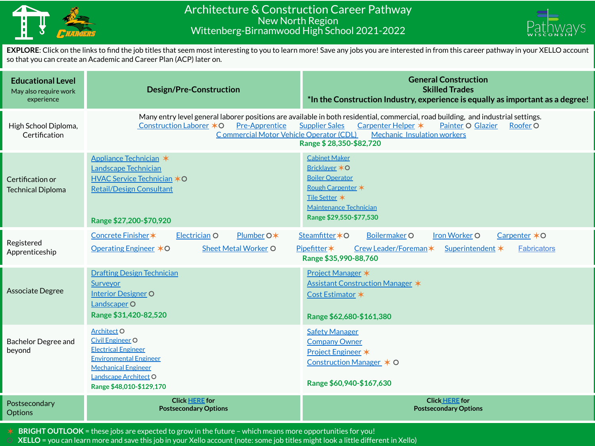

## Architecture & Construction Career Pathway New North Region Wittenberg-Birnamwood High School 2021-2022



**EXPLORE**: Click on the links to find the job titles that seem most interesting to you to learn more! Save any jobs you are interested in from this career pathway in your XELLO account so that you can create an Academic and Career Plan (ACP) later on.

| <b>Educational Level</b><br>May also require work<br>experience | <b>Design/Pre-Construction</b>                                                                                                                                                                                                                                                                                                                                             | <b>General Construction</b><br><b>Skilled Trades</b><br>*In the Construction Industry, experience is equally as important as a degree!                                                    |
|-----------------------------------------------------------------|----------------------------------------------------------------------------------------------------------------------------------------------------------------------------------------------------------------------------------------------------------------------------------------------------------------------------------------------------------------------------|-------------------------------------------------------------------------------------------------------------------------------------------------------------------------------------------|
| High School Diploma,<br>Certification                           | Many entry level general laborer positions are available in both residential, commercial, road building, and industrial settings.<br>Construction Laborer *O<br><b>Pre-Apprentice</b><br><b>Supplier Sales</b><br>Carpenter Helper *<br>Painter O Glazier<br>Roofer O<br>Commercial Motor Vehicle Operator (CDL)<br>Mechanic Insulation workers<br>Range \$28,350-\$82,720 |                                                                                                                                                                                           |
| Certification or<br><b>Technical Diploma</b>                    | Appliance Technician *<br><b>Landscape Technician</b><br>HVAC Service Technician *O<br><b>Retail/Design Consultant</b><br>Range \$27,200-\$70,920                                                                                                                                                                                                                          | <b>Cabinet Maker</b><br>Bricklayer *O<br><b>Boiler Operator</b><br>Rough Carpenter *<br>Tile Setter *<br>Maintenance Technician<br>Range \$29,550-\$77,530                                |
| Registered<br>Apprenticeship                                    | Plumber O*<br>Concrete Finisher *<br>Electrician O<br><b>Operating Engineer ∗O</b><br><b>Sheet Metal Worker O</b>                                                                                                                                                                                                                                                          | <b>Iron Worker O</b><br>Carpenter *O<br>Steamfitter * O<br><b>Boilermaker O</b><br>Pipefitter*<br>Crew Leader/Foreman*<br>Superintendent *<br><b>Fabricators</b><br>Range \$35,990-88,760 |
| Associate Degree                                                | <b>Drafting Design Technician</b><br>Surveyor<br><b>Interior Designer O</b><br><b>Landscaper O</b><br>Range \$31,420-82,520                                                                                                                                                                                                                                                | Project Manager *<br><b>Assistant Construction Manager *</b><br>Cost Estimator *<br>Range \$62,680-\$161,380                                                                              |
| <b>Bachelor Degree and</b><br>beyond                            | Architect <sub>O</sub><br><b>Civil Engineer O</b><br><b>Electrical Engineer</b><br><b>Environmental Engineer</b><br><b>Mechanical Engineer</b><br>Landscape Architect O<br>Range \$48,010-\$129,170                                                                                                                                                                        | <b>Safety Manager</b><br><b>Company Owner</b><br>Project Engineer *<br>Construction Manager * O<br>Range \$60,940-\$167,630                                                               |
| Postsecondary<br><b>Options</b>                                 | <b>Click HERE for</b><br><b>Postsecondary Options</b>                                                                                                                                                                                                                                                                                                                      | <b>Click HERE for</b><br><b>Postsecondary Options</b>                                                                                                                                     |

✶ **BRIGHT OUTLOOK** = these jobs are expected to grow in the future – which means more opportunities for you!

⚪ **XELLO** = you can learn more and save this job in your Xello account (note: some job titles might look a little different in Xello)